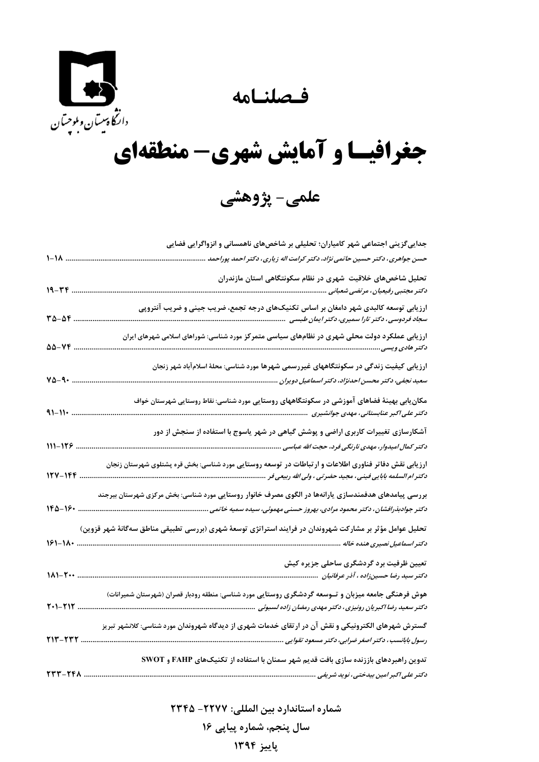فصلنامه



## جغرافیسا و آمایش شهری- منطقهای

علمي- پژوهشي

| جداییگزینی اجتماعی شهر کامیاران؛ تحلیلی بر شاخصهای ناهمسانی و انزواگرایی فضایی                                                                                            |                        |
|---------------------------------------------------------------------------------------------------------------------------------------------------------------------------|------------------------|
| حسن جواهری، دکتر حسین حاتمی نژاد، دکتر کرامت اله زیاری، دکتر احمد پوراحمد<br>$1 - 1$ A                                                                                    |                        |
| تحلیل شاخصهای خلاقیت شهری در نظام سکونتگاهی استان مازندران                                                                                                                |                        |
| $19 - YY$<br>دكتر مجتبى رفيعيان، مرتضى شعبانى .                                                                                                                           |                        |
|                                                                                                                                                                           | $r_{\Delta-\Delta}r$ . |
|                                                                                                                                                                           | 55-14                  |
| ارزیابی کیفیت زندگی در سکونتگاههای غیررسمی شهرها مورد شناسی: محلهٔ اسلامآباد شهر زنجان                                                                                    |                        |
| سعید نجفی، دکتر محسن احدنژاد، دکتر اسماعیل دویران                                                                                                                         | $Y\Delta - 9$ .        |
| مکان ِابی بهینهٔ فضاهای آموزشی در سکونتگاههای روستایی مورد شناسی: نقاط روستایی شهرستان خواف                                                                               | $91 - 11$              |
| آشکارسازی تغییرات کاربری اراضی و پوشش گیاهی در شهر یاسوج با استفاده از سنجش از دور<br>$111 - 179$ .                                                                       |                        |
| 127-146                                                                                                                                                                   |                        |
| بررسی پیامدهای هدفمندسازی یارانهها در الگوی مصرف خانوار روستایی مورد شناسی: بخش مرکزی شهرستان بیرجند                                                                      |                        |
| تحلیل عوامل مؤثر بر مشارکت شهروندان در فرایند استراتژی توسعهٔ شهری (بررسی تطبیقی مناطق سهگانهٔ شهر قزوین)<br>$181 - 11.$<br>دکتر اسماعیل نصیری هنده خاله                  |                        |
| تعیین ظرفیت برد گردشگری ساحلی جزیره کیش<br>$11 - 5 - $<br>دکتر سید رضا حسینزاده ، آذر عرفانیان                                                                            |                        |
| هوش فرهنگی جامعه میزبان و تــوسعه گردشگری روستایی مورد شناسی: منطقه رودبار قصران (شهرستان شمیرانات)<br>$T - T1T$                                                          |                        |
| گسترش شهرهای الکترونیکی و نقش آن در ارتقای خدمات شهری از دیدگاه شهروندان مورد شناسی: کلانشهر تبریز<br>رسول بابانسب ، دکتر اصغر ضرابی، دکتر مسعود تقوایی<br><b>٢١٣-٢٣٢</b> |                        |
| تدوین راهبردهای باززنده سازی بافت قدیم شهر سمنان با استفاده از تکنیکهای FAHP و SWOT<br><b>TTT-TFA</b><br>دکتر علی اکبر امین بیدختی، نوید شریفی                            |                        |

شماره استاندارد بين المللي: ٢٢٧٧- ٢٣۴۵ سال پنجم، شماره پیایی ۱۶ پاییز ۱۳۹۴